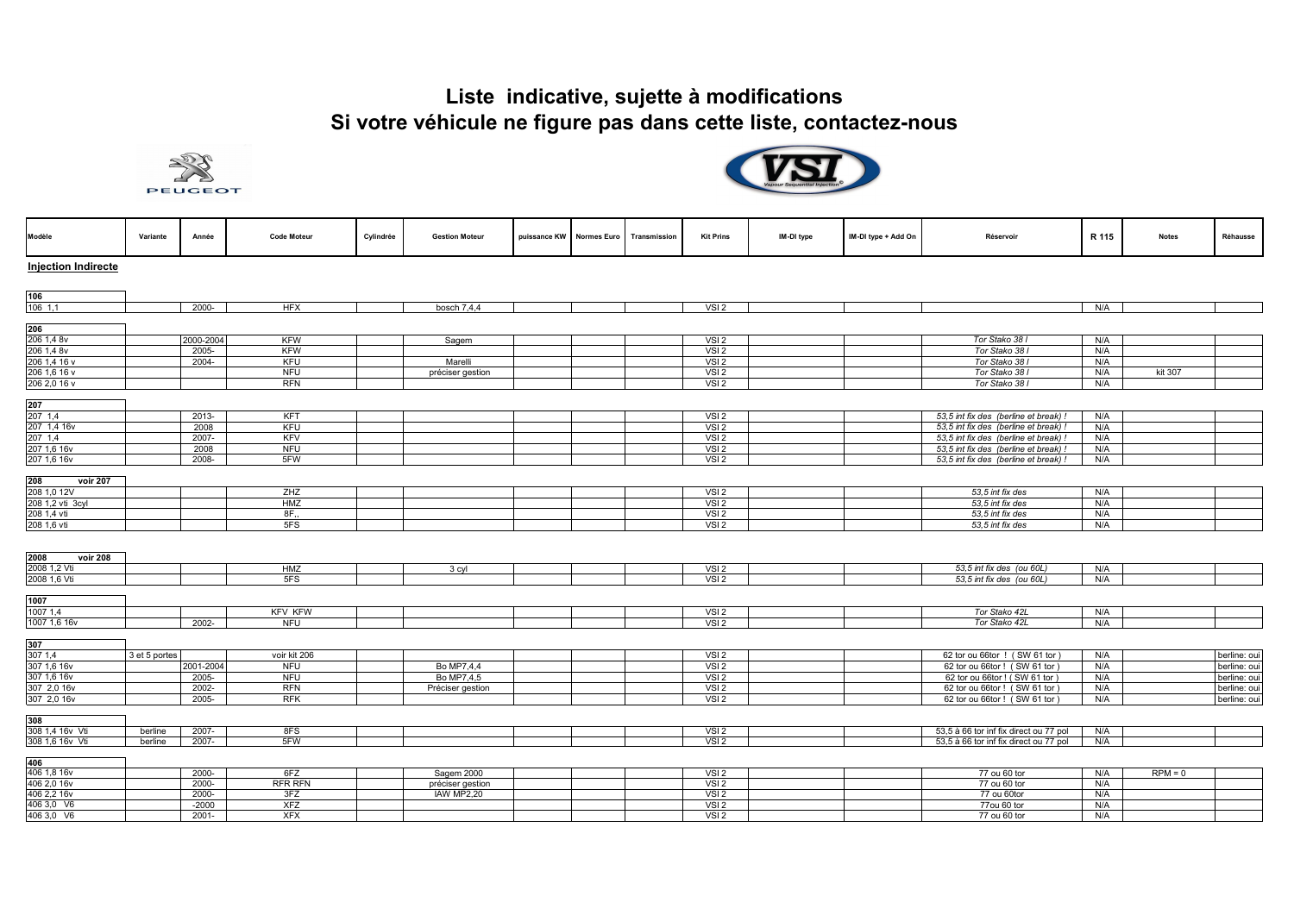## **Liste indicative, sujette à modifications Si votre véhicule ne figure pas dans cette liste, contactez-nous**





| Modèle                     | Variante      | Année     | <b>Code Moteur</b>       | Cylindrée | <b>Gestion Moteur</b> | puissance KW Normes Euro | Transmission | <b>Kit Prins</b>         | IM-DI type | IM-DI type + Add On | Réservoir                              | R 115 | <b>Notes</b> | Réhausse     |
|----------------------------|---------------|-----------|--------------------------|-----------|-----------------------|--------------------------|--------------|--------------------------|------------|---------------------|----------------------------------------|-------|--------------|--------------|
| <b>Injection Indirecte</b> |               |           |                          |           |                       |                          |              |                          |            |                     |                                        |       |              |              |
|                            |               |           |                          |           |                       |                          |              |                          |            |                     |                                        |       |              |              |
|                            |               |           |                          |           |                       |                          |              |                          |            |                     |                                        |       |              |              |
| 106                        |               |           |                          |           |                       |                          |              |                          |            |                     |                                        |       |              |              |
| $106$ 1,1                  |               | $2000 -$  | <b>HFX</b>               |           | bosch $7,4,4$         |                          |              | VSI <sub>2</sub>         |            |                     |                                        | N/A   |              |              |
|                            |               |           |                          |           |                       |                          |              |                          |            |                     |                                        |       |              |              |
| 206                        |               |           |                          |           |                       |                          |              |                          |            |                     |                                        |       |              |              |
| 206 1,4 8v                 |               | 2000-2004 | KFW                      |           | Sagem                 |                          |              | VSI <sub>2</sub>         |            |                     | Tor Stako 38 I                         | N/A   |              |              |
| 206 1,4 8v                 |               | 2005-     | <b>KFW</b>               |           |                       |                          |              | VSI <sub>2</sub>         |            |                     | Tor Stako 38 I                         | N/A   |              |              |
| 206 1,4 16 v               |               | $2004 -$  | <b>KFU</b>               |           | Marelli               |                          |              | VSI <sub>2</sub>         |            |                     | Tor Stako 38 I                         | N/A   |              |              |
| 206 1,6 16 v               |               |           | <b>NFU</b>               |           | préciser gestion      |                          |              | VSI <sub>2</sub>         |            |                     | Tor Stako 38 I                         | N/A   | kit 307      |              |
| 206 2,0 16 v               |               |           | <b>RFN</b>               |           |                       |                          |              | $\overline{\text{VS}}$ 2 |            |                     | Tor Stako 38 I                         | N/A   |              |              |
| 207                        |               |           |                          |           |                       |                          |              |                          |            |                     |                                        |       |              |              |
| 207 1,4                    |               | 2013-     | <b>KFT</b>               |           |                       |                          |              | VSI <sub>2</sub>         |            |                     | 53,5 int fix des (berline et break) !  | N/A   |              |              |
| 207 1,4 16v                |               | 2008      | <b>KFU</b>               |           |                       |                          |              | VSI <sub>2</sub>         |            |                     | 53,5 int fix des (berline et break) !  | N/A   |              |              |
| 207 1.4                    |               | 2007-     | KFV                      |           |                       |                          |              | VSI <sub>2</sub>         |            |                     | 53,5 int fix des (berline et break) !  | N/A   |              |              |
| 207 1,6 16v                |               | 2008      | <b>NFU</b>               |           |                       |                          |              | VSI <sub>2</sub>         |            |                     | 53,5 int fix des (berline et break) !  | N/A   |              |              |
| 207 1,6 16v                |               | 2008-     | 5FW                      |           |                       |                          |              | VSI <sub>2</sub>         |            |                     | 53,5 int fix des (berline et break) !  | N/A   |              |              |
|                            |               |           |                          |           |                       |                          |              |                          |            |                     |                                        |       |              |              |
| 208<br><b>voir 207</b>     |               |           |                          |           |                       |                          |              |                          |            |                     |                                        |       |              |              |
| 208 1,0 12V                |               |           | ZHZ                      |           |                       |                          |              | VSI <sub>2</sub>         |            |                     | 53,5 int fix des                       | N/A   |              |              |
| 208 1.2 vti 3cyl           |               |           | <b>HMZ</b>               |           |                       |                          |              | VSI <sub>2</sub>         |            |                     | 53,5 int fix des                       | N/A   |              |              |
| 208 1,4 vti                |               |           | 8F,                      |           |                       |                          |              | VSI <sub>2</sub>         |            |                     | 53,5 int fix des                       | N/A   |              |              |
| 208 1,6 vti                |               |           | 5FS                      |           |                       |                          |              | VSI <sub>2</sub>         |            |                     | 53,5 int fix des                       | N/A   |              |              |
|                            |               |           |                          |           |                       |                          |              |                          |            |                     |                                        |       |              |              |
|                            |               |           |                          |           |                       |                          |              |                          |            |                     |                                        |       |              |              |
| 2008<br>voir 208           |               |           |                          |           |                       |                          |              |                          |            |                     |                                        |       |              |              |
| 2008 1,2 Vti               |               |           | <b>HMZ</b>               |           | 3 cyl                 |                          |              | VSI <sub>2</sub>         |            |                     | 53,5 int fix des (ou 60L)              | N/A   |              |              |
| 2008 1,6 Vti               |               |           | 5FS                      |           |                       |                          |              | VSI <sub>2</sub>         |            |                     | 53,5 int fix des (ou 60L)              | N/A   |              |              |
|                            |               |           |                          |           |                       |                          |              |                          |            |                     |                                        |       |              |              |
| 1007                       |               |           |                          |           |                       |                          |              |                          |            |                     |                                        |       |              |              |
| 1007 1,4                   |               |           | <b>KFV KFW</b>           |           |                       |                          |              | VSI <sub>2</sub>         |            |                     | Tor Stako 42L                          | N/A   |              |              |
| 1007 1,6 16v               |               | 2002-     | <b>NFU</b>               |           |                       |                          |              | VSI <sub>2</sub>         |            |                     | Tor Stako 42L                          | N/A   |              |              |
|                            |               |           |                          |           |                       |                          |              |                          |            |                     |                                        |       |              |              |
| 307                        |               |           |                          |           |                       |                          |              |                          |            |                     |                                        |       |              |              |
| 307 1.4                    | 3 et 5 portes |           | voir kit 206             |           |                       |                          |              | VSI <sub>2</sub>         |            |                     | 62 tor ou 66tor ! (SW 61 tor           | N/A   |              | berline: oui |
| 307 1,6 16v                |               | 2001-2004 | <b>NFU</b>               |           | Bo MP7,4,4            |                          |              | VSI <sub>2</sub>         |            |                     | 62 tor ou 66tor ! (SW 61 tor)          | N/A   |              | berline: oui |
| 307 1,6 16v                |               | 2005-     | <b>NFU</b>               |           | Bo MP7.4.5            |                          |              | VSI <sub>2</sub>         |            |                     | 62 tor ou 66tor ! ( SW 61 tor )        | N/A   |              | berline: oui |
| 307 2,0 16v                |               | 2002-     | <b>RFN</b><br><b>RFK</b> |           | Préciser gestion      |                          |              | VSI <sub>2</sub>         |            |                     | 62 tor ou 66tor ! (SW 61 tor)          | N/A   |              | berline: oui |
| 307 2,0 16v                |               | $2005 -$  |                          |           |                       |                          |              | VSI <sub>2</sub>         |            |                     | 62 tor ou 66tor ! (SW 61 tor)          | N/A   |              | berline: oui |
| 308                        |               |           |                          |           |                       |                          |              |                          |            |                     |                                        |       |              |              |
| 308 1,4 16v Vti            | berline       | $2007 -$  | 8FS                      |           |                       |                          |              | VSI2                     |            |                     | 53,5 à 66 tor inf fix direct ou 77 pol | N/A   |              |              |
| 308 1,6 16v Vti            | berline       | 2007-     | 5FW                      |           |                       |                          |              | VSI <sub>2</sub>         |            |                     | 53,5 à 66 tor inf fix direct ou 77 pol | N/A   |              |              |
|                            |               |           |                          |           |                       |                          |              |                          |            |                     |                                        |       |              |              |
| 406                        |               |           |                          |           |                       |                          |              |                          |            |                     |                                        |       |              |              |
| 406 1,8 16v                |               | $2000 -$  | 6FZ                      |           | Sagem 2000            |                          |              | VSI <sub>2</sub>         |            |                     | 77 ou 60 tor                           | N/A   | $RPM = 0$    |              |
| 406 2,0 16v                |               | 2000-     | <b>RFR RFN</b>           |           | préciser gestion      |                          |              | VSI <sub>2</sub>         |            |                     | 77 ou 60 tor                           | N/A   |              |              |
| 406 2,2 16v                |               | 2000-     | 3FZ                      |           | IAW MP2,20            |                          |              | VSI <sub>2</sub>         |            |                     | 77 ou 60tor                            | N/A   |              |              |
| 406 3,0 V6                 |               | $-2000$   | <b>XFZ</b>               |           |                       |                          |              | VSI <sub>2</sub>         |            |                     | 77ou 60 tor                            | N/A   |              |              |
| 406 3,0 V6                 |               | 2001-     | <b>XFX</b>               |           |                       |                          |              | VSI <sub>2</sub>         |            |                     | $\overline{77}$ ou 60 tor              | N/A   |              |              |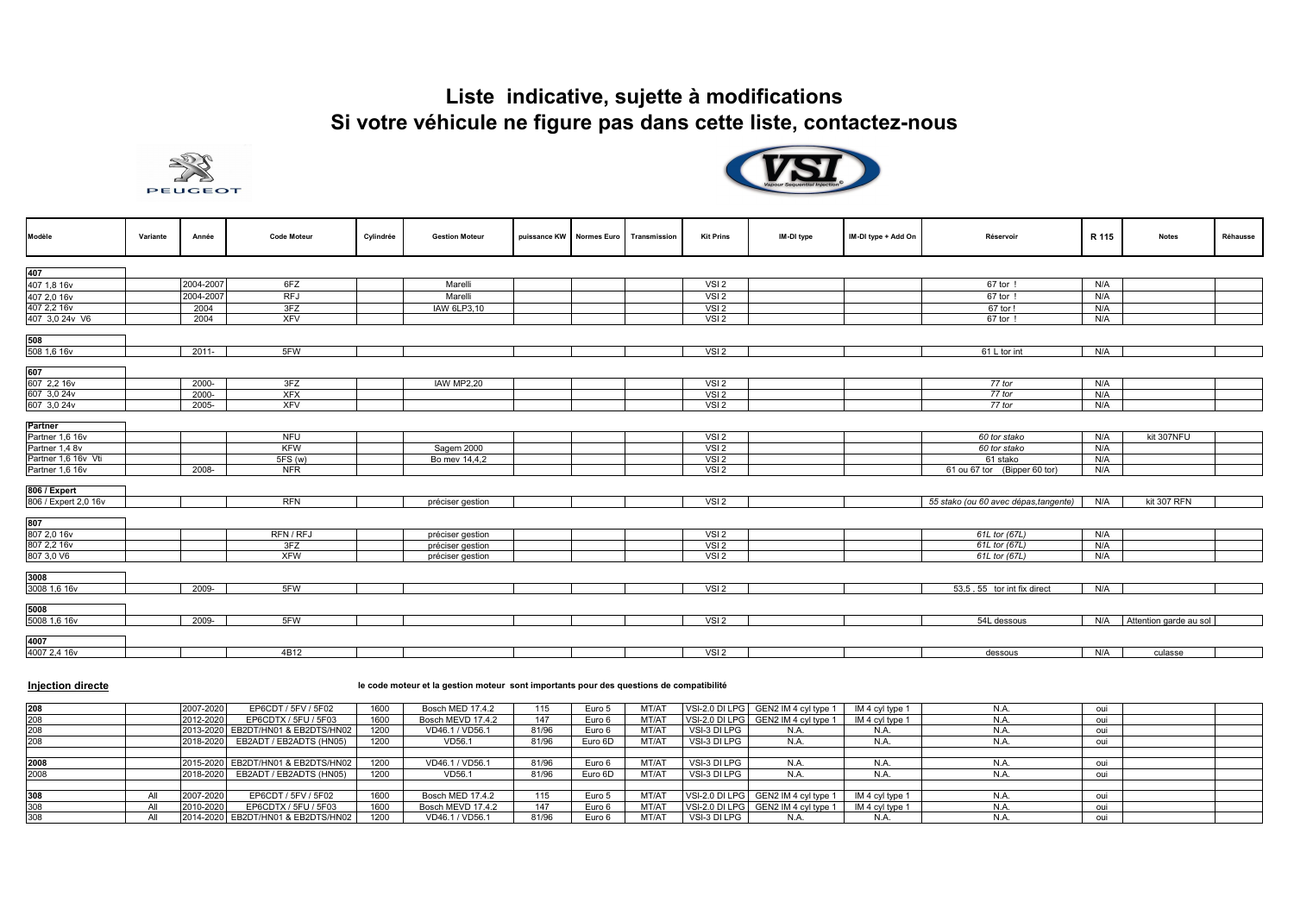## **Liste indicative, sujette à modifications Si votre véhicule ne figure pas dans cette liste, contactez-nous**





| Modèle                                                                                                        | Variante | Année     | <b>Code Moteur</b>                                | Cylindrée | <b>Gestion Moteur</b>       | puissance KW Normes Euro | Transmission | <b>Kit Prins</b>                                                             | IM-DI type | IM-DI type + Add On | Réservoir                                                                | R 115                    | <b>Notes</b>           | Réhausse |
|---------------------------------------------------------------------------------------------------------------|----------|-----------|---------------------------------------------------|-----------|-----------------------------|--------------------------|--------------|------------------------------------------------------------------------------|------------|---------------------|--------------------------------------------------------------------------|--------------------------|------------------------|----------|
| 407                                                                                                           |          |           |                                                   |           |                             |                          |              |                                                                              |            |                     |                                                                          |                          |                        |          |
| 407 1,8 16v                                                                                                   |          | 2004-2007 | 6FZ                                               |           | Marelli                     |                          |              | VSI <sub>2</sub>                                                             |            |                     | 67 tor                                                                   | N/A                      |                        |          |
| 407 2,0 16v                                                                                                   |          | 2004-2007 | <b>RFJ</b>                                        |           | Marelli                     |                          |              | VSI <sub>2</sub>                                                             |            |                     | 67 tor                                                                   | N/A                      |                        |          |
| 407 2,2 16v                                                                                                   |          | 2004      | 3FZ                                               |           | IAW 6LP3,10                 |                          |              | VSI2                                                                         |            |                     | 67 tor !                                                                 | N/A                      |                        |          |
| 407 3,0 24v V6                                                                                                |          | 2004      | <b>XFV</b>                                        |           |                             |                          |              | VSI <sub>2</sub>                                                             |            |                     | 67 tor !                                                                 | N/A                      |                        |          |
| 508                                                                                                           |          |           |                                                   |           |                             |                          |              |                                                                              |            |                     |                                                                          |                          |                        |          |
| 508 1,6 16v                                                                                                   |          | 2011-     | 5FW                                               |           |                             |                          |              | VSI <sub>2</sub>                                                             |            |                     | 61 L tor int                                                             | N/A                      |                        |          |
| 607<br>607 2,2 16v                                                                                            |          | 2000-     | 3FZ                                               |           | <b>IAW MP2,20</b>           |                          |              | VSI <sub>2</sub>                                                             |            |                     | 77 tor                                                                   | N/A                      |                        |          |
| 607 3,0 24v                                                                                                   |          | $2000 -$  | <b>XFX</b>                                        |           |                             |                          |              | VSI <sub>2</sub>                                                             |            |                     | 77 tor                                                                   | N/A                      |                        |          |
| 607 3,0 24v                                                                                                   |          | 2005-     | <b>XFV</b>                                        |           |                             |                          |              | VSI <sub>2</sub>                                                             |            |                     | 77 tor                                                                   | N/A                      |                        |          |
| <b>Partner</b><br>Partner 1,6 16v<br>Partner 1,4 8v<br>Partner 1,6 16v Vti<br>Partner 1,6 16v<br>806 / Expert |          | 2008-     | <b>NFU</b><br><b>KFW</b><br>5FS (w)<br><b>NFR</b> |           | Sagem 2000<br>Bo mev 14,4,2 |                          |              | VSI <sub>2</sub><br>VSI <sub>2</sub><br>VSI <sub>2</sub><br>VSI <sub>2</sub> |            |                     | 60 tor stako<br>60 tor stako<br>61 stako<br>61 ou 67 tor (Bipper 60 tor) | N/A<br>N/A<br>N/A<br>N/A | kit 307NFU             |          |
| 806 / Expert 2,0 16v                                                                                          |          |           | <b>RFN</b>                                        |           | préciser gestion            |                          |              | VSI <sub>2</sub>                                                             |            |                     | 55 stako (ou 60 avec dépas, tangente)                                    | N/A                      | kit 307 RFN            |          |
| 807<br>807 2,0 16v                                                                                            |          |           | RFN/RFJ                                           |           | préciser gestion            |                          |              | VSI <sub>2</sub>                                                             |            |                     | 61L tor (67L)                                                            | N/A                      |                        |          |
| 807 2,2 16v                                                                                                   |          |           | 3FZ                                               |           | préciser gestion            |                          |              | VSI <sub>2</sub>                                                             |            |                     | 61L tor (67L)                                                            | N/A                      |                        |          |
| 807 3,0 V6                                                                                                    |          |           | <b>XFW</b>                                        |           | préciser gestion            |                          |              | VSI <sub>2</sub>                                                             |            |                     | 61L tor (67L)                                                            | N/A                      |                        |          |
| 3008                                                                                                          |          |           |                                                   |           |                             |                          |              |                                                                              |            |                     |                                                                          |                          |                        |          |
| 3008 1,6 16v                                                                                                  |          | 2009-     | 5FW                                               |           |                             |                          |              | VSI <sub>2</sub>                                                             |            |                     | 53,5, 55 tor int fix direct                                              | N/A                      |                        |          |
| 5008                                                                                                          |          |           |                                                   |           |                             |                          |              |                                                                              |            |                     |                                                                          |                          |                        |          |
| 5008 1,6 16v                                                                                                  |          | 2009-     | 5FW                                               |           |                             |                          |              | VSI <sub>2</sub>                                                             |            |                     | 54L dessous                                                              | N/A                      | Attention garde au sol |          |
| 4007<br>4007 2,4 16v                                                                                          |          |           | 4B12                                              |           |                             |                          |              | VSI <sub>2</sub>                                                             |            |                     | dessous                                                                  | N/A                      | culasse                |          |

## **Injection directe le code moteur et la gestion moteur sont importants pour des questions de compatibilité**

| 208  | 2007-2020 | EP6CDT / 5FV / 5F02                | 1600 | Bosch MED 17.4.2  | 115   | Euro 5  | MT/AT             |              | VSI-2.0 DI LPG GEN2 IM 4 cyl type 1 M 4 cyl type 1 |                 |     |  |
|------|-----------|------------------------------------|------|-------------------|-------|---------|-------------------|--------------|----------------------------------------------------|-----------------|-----|--|
| 208  | 2012-2020 | EP6CDTX / 5FU / 5F03               | 1600 | Bosch MEVD 17.4.2 | 147   | Euro 6  | MT/AT             |              | VSI-2.0 DI LPG GEN2 IM 4 cyl type 1                | IM 4 cyl type 1 |     |  |
| 208  |           | 2013-2020 EB2DT/HN01 & EB2DTS/HN02 | 1200 | VD46.1 / VD56.1   | 81/96 | Euro 6  | MT/A1             | VSI-3 DI LPG | N.A.                                               | N.A.            | N.A |  |
| 208  |           | 2018-2020 EB2ADT / EB2ADTS (HN05)  | 1200 | VD56.1            | 81/96 | Euro 6D | MT/AT             | VSI-3 DI LPG | N.A                                                | N.A             |     |  |
|      |           |                                    |      |                   |       |         |                   |              |                                                    |                 |     |  |
| 2008 |           | 2015-2020 EB2DT/HN01 & EB2DTS/HN02 | 1200 | VD46.1 / VD56.1   | 81/96 | Euro 6  | MT/AT             | VSI-3 DI LPG | N.A.                                               | N.A.            | N A |  |
| 2008 |           | 2018-2020 EB2ADT / EB2ADTS (HN05)  | 1200 | VD56.1            | 81/96 | Euro 6D | MT/A <sup>-</sup> | VSI-3 DI LPG | N.A                                                | N.A             |     |  |
|      |           |                                    |      |                   |       |         |                   |              |                                                    |                 |     |  |
| 308  | 2007-2020 | EP6CDT / 5FV / 5F02                | 1600 | Bosch MED 17.4.2  | 115   | Euro 5  | MT/AT             |              | VSI-2.0 DI LPG GEN2 IM 4 cyl type 1                | IM 4 cyl type 1 |     |  |
| 308  | 2010-2020 | EP6CDTX / 5FU / 5F03               | 1600 | Bosch MEVD 17.4.2 | 147   | Euro 6  | MT/AT             |              | VSI-2.0 DI LPG GEN2 IM 4 cyl type 1                | IM 4 cyl type 1 |     |  |
| 308  |           | 2014-2020 EB2DT/HN01 & EB2DTS/HN02 | 1200 | VD46.1 / VD56.1   | 81/96 | Euro 6  | MT/A              | VSI-3 DI LPG | N.A                                                | N.A.            |     |  |